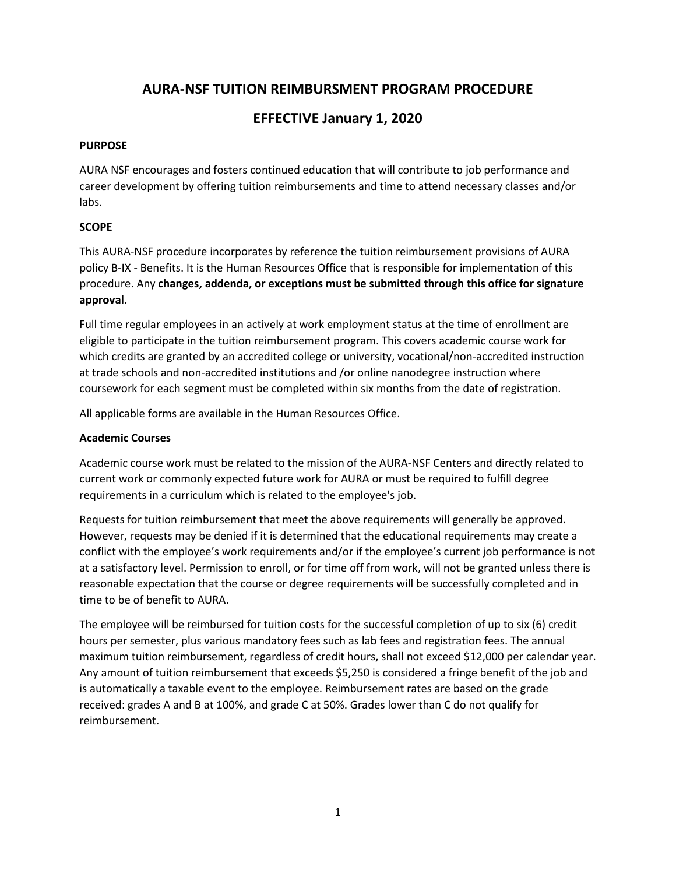# **AURA-NSF TUITION REIMBURSMENT PROGRAM PROCEDURE**

# **EFFECTIVE January 1, 2020**

## **PURPOSE**

AURA NSF encourages and fosters continued education that will contribute to job performance and career development by offering tuition reimbursements and time to attend necessary classes and/or labs.

## **SCOPE**

This AURA-NSF procedure incorporates by reference the tuition reimbursement provisions of AURA policy B-IX - Benefits. It is the Human Resources Office that is responsible for implementation of this procedure. Any **changes, addenda, or exceptions must be submitted through this office for signature approval.**

Full time regular employees in an actively at work employment status at the time of enrollment are eligible to participate in the tuition reimbursement program. This covers academic course work for which credits are granted by an accredited college or university, vocational/non-accredited instruction at trade schools and non-accredited institutions and /or online nanodegree instruction where coursework for each segment must be completed within six months from the date of registration.

All applicable forms are available in the Human Resources Office.

### **Academic Courses**

Academic course work must be related to the mission of the AURA-NSF Centers and directly related to current work or commonly expected future work for AURA or must be required to fulfill degree requirements in a curriculum which is related to the employee's job.

Requests for tuition reimbursement that meet the above requirements will generally be approved. However, requests may be denied if it is determined that the educational requirements may create a conflict with the employee's work requirements and/or if the employee's current job performance is not at a satisfactory level. Permission to enroll, or for time off from work, will not be granted unless there is reasonable expectation that the course or degree requirements will be successfully completed and in time to be of benefit to AURA.

The employee will be reimbursed for tuition costs for the successful completion of up to six (6) credit hours per semester, plus various mandatory fees such as lab fees and registration fees. The annual maximum tuition reimbursement, regardless of credit hours, shall not exceed \$12,000 per calendar year. Any amount of tuition reimbursement that exceeds \$5,250 is considered a fringe benefit of the job and is automatically a taxable event to the employee. Reimbursement rates are based on the grade received: grades A and B at 100%, and grade C at 50%. Grades lower than C do not qualify for reimbursement.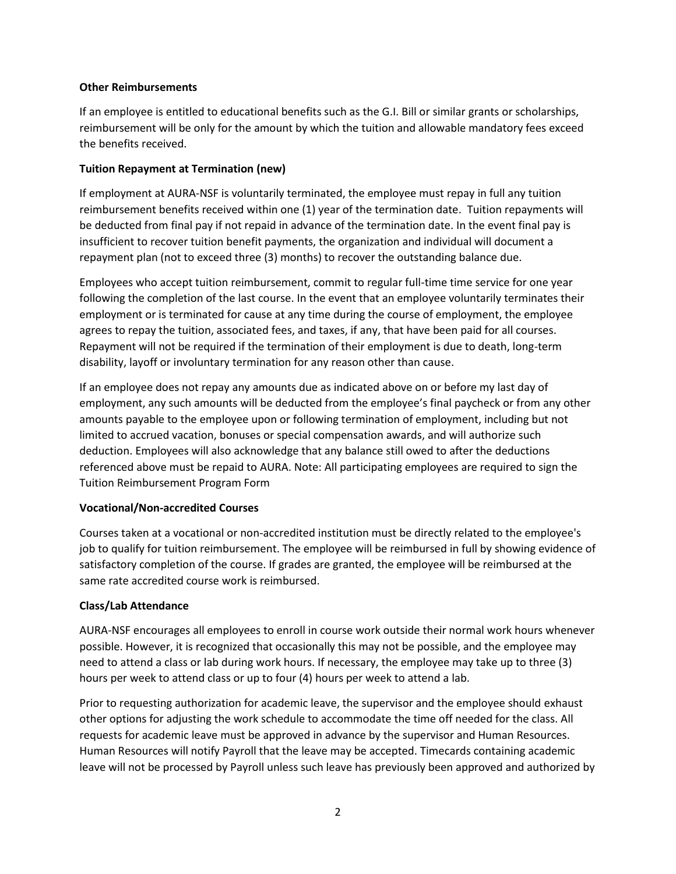#### **Other Reimbursements**

If an employee is entitled to educational benefits such as the G.I. Bill or similar grants or scholarships, reimbursement will be only for the amount by which the tuition and allowable mandatory fees exceed the benefits received.

#### **Tuition Repayment at Termination (new)**

If employment at AURA-NSF is voluntarily terminated, the employee must repay in full any tuition reimbursement benefits received within one (1) year of the termination date. Tuition repayments will be deducted from final pay if not repaid in advance of the termination date. In the event final pay is insufficient to recover tuition benefit payments, the organization and individual will document a repayment plan (not to exceed three (3) months) to recover the outstanding balance due.

Employees who accept tuition reimbursement, commit to regular full-time time service for one year following the completion of the last course. In the event that an employee voluntarily terminates their employment or is terminated for cause at any time during the course of employment, the employee agrees to repay the tuition, associated fees, and taxes, if any, that have been paid for all courses. Repayment will not be required if the termination of their employment is due to death, long-term disability, layoff or involuntary termination for any reason other than cause.

If an employee does not repay any amounts due as indicated above on or before my last day of employment, any such amounts will be deducted from the employee's final paycheck or from any other amounts payable to the employee upon or following termination of employment, including but not limited to accrued vacation, bonuses or special compensation awards, and will authorize such deduction. Employees will also acknowledge that any balance still owed to after the deductions referenced above must be repaid to AURA. Note: All participating employees are required to sign the Tuition Reimbursement Program Form

#### **Vocational/Non-accredited Courses**

Courses taken at a vocational or non-accredited institution must be directly related to the employee's job to qualify for tuition reimbursement. The employee will be reimbursed in full by showing evidence of satisfactory completion of the course. If grades are granted, the employee will be reimbursed at the same rate accredited course work is reimbursed.

#### **Class/Lab Attendance**

AURA-NSF encourages all employees to enroll in course work outside their normal work hours whenever possible. However, it is recognized that occasionally this may not be possible, and the employee may need to attend a class or lab during work hours. If necessary, the employee may take up to three (3) hours per week to attend class or up to four (4) hours per week to attend a lab.

Prior to requesting authorization for academic leave, the supervisor and the employee should exhaust other options for adjusting the work schedule to accommodate the time off needed for the class. All requests for academic leave must be approved in advance by the supervisor and Human Resources. Human Resources will notify Payroll that the leave may be accepted. Timecards containing academic leave will not be processed by Payroll unless such leave has previously been approved and authorized by